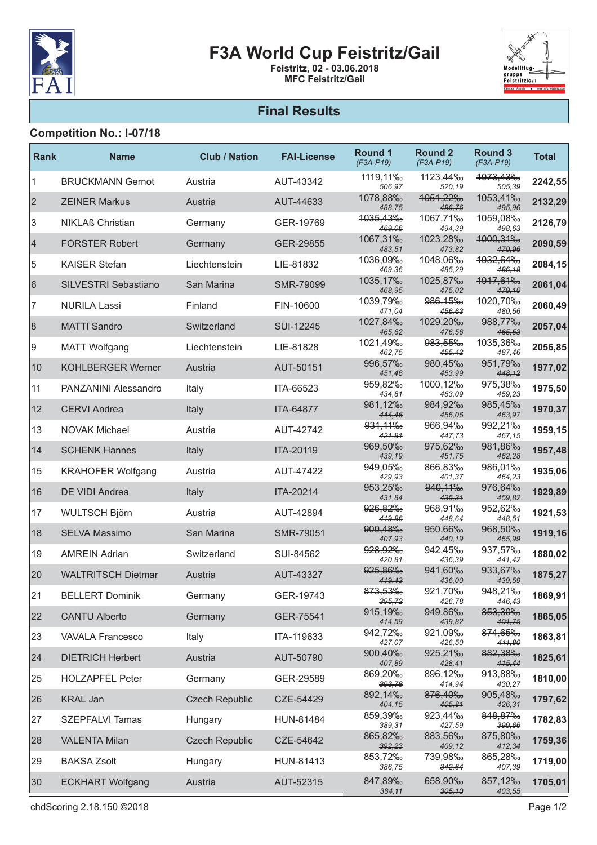

# F3A World Cup Feistritz/Gail

Feistritz, 02 - 03.06.2018 MFC Feistritz/Gail



### Final Results

#### Competition No.: I-07/18

| Rank           | <b>Name</b>                 | <b>Club / Nation</b>  | <b>FAI-License</b> | <b>Round 1</b><br>$(F3A-P19)$ | <b>Round 2</b><br>$(F3A-P19)$  | <b>Round 3</b><br>$(F3A-P19)$ | <b>Total</b> |
|----------------|-----------------------------|-----------------------|--------------------|-------------------------------|--------------------------------|-------------------------------|--------------|
| 1              | <b>BRUCKMANN Gernot</b>     | Austria               | AUT-43342          | 1119,11%<br>506,97            | 1123,44‰<br>520,19             | <del>1073,43‰</del><br>505,39 | 2242,55      |
| $\overline{2}$ | <b>ZEINER Markus</b>        | Austria               | AUT-44633          | 1078,88‰<br>488,75            | 1051,22‰<br>486,76             | 1053,41‰<br>495,96            | 2132,29      |
| 3              | <b>NIKLAß Christian</b>     | Germany               | GER-19769          | 1035,43‰<br>469,06            | 1067,71%<br>494,39             | 1059,08‰<br>498,63            | 2126,79      |
| 4              | <b>FORSTER Robert</b>       | Germany               | GER-29855          | 1067,31‰<br>483,51            | 1023,28‰<br>473,82             | 1000,31%<br>470,96            | 2090,59      |
| 5              | <b>KAISER Stefan</b>        | Liechtenstein         | LIE-81832          | 1036,09‰<br>469,36            | 1048,06%<br>485,29             | 1032,64‰<br>486,18            | 2084,15      |
| 6              | SILVESTRI Sebastiano        | San Marina            | SMR-79099          | 1035,17%<br>468,95            | 1025,87%<br>475,02             | 1017,61‰<br>479,10            | 2061,04      |
| 7              | <b>NURILA Lassi</b>         | Finland               | FIN-10600          | 1039,79%<br>471,04            | 986, 15 <sub>%</sub><br>456.63 | 1020,70%<br>480,56            | 2060,49      |
| 8              | <b>MATTI Sandro</b>         | Switzerland           | SUI-12245          | 1027,84‰<br>465,62            | 1029,20‰<br>476,56             | 988,77%<br>465,53             | 2057,04      |
| 9              | <b>MATT Wolfgang</b>        | Liechtenstein         | LIE-81828          | 1021,49‰<br>462,75            | 983,55%<br>455,42              | 1035,36‰<br>487,46            | 2056,85      |
| 10             | <b>KOHLBERGER Werner</b>    | Austria               | AUT-50151          | 996,57%<br>451,46             | 980,45%<br>453,99              | 951,79‰<br>448,12             | 1977,02      |
| 11             | <b>PANZANINI Alessandro</b> | Italy                 | ITA-66523          | 959,82%<br>434,81             | 1000,12%<br>463,09             | 975,38‰<br>459,23             | 1975,50      |
| 12             | <b>CERVI Andrea</b>         | Italy                 | ITA-64877          | 981,12%<br>444,46             | 984,92%<br>456,06              | 985,45‰<br>463,97             | 1970,37      |
| 13             | <b>NOVAK Michael</b>        | Austria               | AUT-42742          | 931, 11%<br>421,81            | 966,94%<br>447,73              | 992,21%<br>467,15             | 1959,15      |
| 14             | <b>SCHENK Hannes</b>        | Italy                 | ITA-20119          | 969,50%<br>439,19             | 975,62%<br>451,75              | 981,86‰<br>462,28             | 1957,48      |
| 15             | <b>KRAHOFER Wolfgang</b>    | Austria               | AUT-47422          | 949,05%<br>429,93             | 866,83%<br>401,37              | 986,01%<br>464,23             | 1935,06      |
| 16             | DE VIDI Andrea              | Italy                 | ITA-20214          | 953,25‰<br>431,84             | 940, 11 <sub>%</sub><br>435,31 | 976,64%<br>459,82             | 1929,89      |
| 17             | <b>WULTSCH Björn</b>        | Austria               | AUT-42894          | 926,82%<br>419,86             | 968,91%<br>448,64              | 952,62%<br>448,51             | 1921,53      |
| 18             | <b>SELVA Massimo</b>        | San Marina            | <b>SMR-79051</b>   | 900,48%<br>407,93             | 950,66%<br>440,19              | 968,50%<br>455,99             | 1919,16      |
| 19             | <b>AMREIN Adrian</b>        | Switzerland           | SUI-84562          | 928,92%<br>420,81             | 942,45%<br>436,39              | 937,57%<br>441,42             | 1880,02      |
| 20             | <b>WALTRITSCH Dietmar</b>   | Austria               | AUT-43327          | 925,86‰<br>419,43             | 941,60%<br>436,00              | 933,67%<br>439,59             | 1875,27      |
| 21             | <b>BELLERT Dominik</b>      | Germany               | GER-19743          | 873,53%<br>395,72             | 921,70%<br>426,78              | 948,21%<br>446,43             | 1869,91      |
| 22             | <b>CANTU Alberto</b>        | Germany               | GER-75541          | 915,19‰<br>414,59             | 949,86%<br>439,82              | 853,30‰<br>401,75             | 1865,05      |
| 23             | <b>VAVALA Francesco</b>     | Italy                 | ITA-119633         | 942,72%<br>427,07             | 921,09‰<br>426,50              | 874,65%<br>411,80             | 1863,81      |
| 24             | <b>DIETRICH Herbert</b>     | Austria               | AUT-50790          | 900,40%<br>407,89             | 925,21%<br>428,41              | 882,38%<br>415,44             | 1825,61      |
| 25             | <b>HOLZAPFEL Peter</b>      | Germany               | GER-29589          | 869,20‰<br>393,76             | 896,12%<br>414,94              | 913,88%<br>430,27             | 1810,00      |
| 26             | <b>KRAL Jan</b>             | <b>Czech Republic</b> | CZE-54429          | 892,14‰<br>404,15             | 876,40‰<br>405,81              | 905,48‰<br>426,31             | 1797,62      |
| 27             | <b>SZEPFALVI Tamas</b>      | Hungary               | HUN-81484          | 859,39‰<br>389,31             | 923,44%<br>427,59              | 848,87%<br>399,66             | 1782,83      |
| 28             | <b>VALENTA Milan</b>        | <b>Czech Republic</b> | CZE-54642          | 865,82%<br>392,23             | 883,56%<br>409,12              | 875,80%<br>412,34             | 1759,36      |
| 29             | <b>BAKSA Zsolt</b>          | Hungary               | HUN-81413          | 853,72%<br>386,75             | 739,98%<br>342,64              | 865,28‰<br>407,39             | 1719,00      |
| 30             | <b>ECKHART Wolfgang</b>     | Austria               | AUT-52315          | 847,89‰<br>384,11             | 658,90%<br>305,10              | 857,12‰<br>403,55             | 1705,01      |